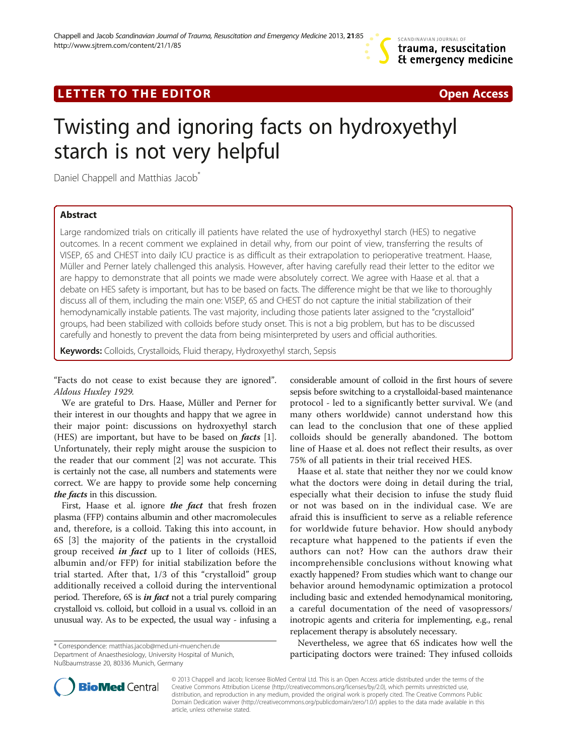# LETTER TO THE EDITOR **CONSIDERATION** CONSIDERING A SAFETY CONSIDERATION CONSIDERED ASSAULT ON A SAFETY OF A SAFETY

# Twisting and ignoring facts on hydroxyethyl starch is not very helpful

Daniel Chappell and Matthias Jacob<sup>®</sup>

## Abstract

Large randomized trials on critically ill patients have related the use of hydroxyethyl starch (HES) to negative outcomes. In a recent comment we explained in detail why, from our point of view, transferring the results of VISEP, 6S and CHEST into daily ICU practice is as difficult as their extrapolation to perioperative treatment. Haase, Müller and Perner lately challenged this analysis. However, after having carefully read their letter to the editor we are happy to demonstrate that all points we made were absolutely correct. We agree with Haase et al. that a debate on HES safety is important, but has to be based on facts. The difference might be that we like to thoroughly discuss all of them, including the main one: VISEP, 6S and CHEST do not capture the initial stabilization of their hemodynamically instable patients. The vast majority, including those patients later assigned to the "crystalloid" groups, had been stabilized with colloids before study onset. This is not a big problem, but has to be discussed carefully and honestly to prevent the data from being misinterpreted by users and official authorities.

Keywords: Colloids, Crystalloids, Fluid therapy, Hydroxyethyl starch, Sepsis

"Facts do not cease to exist because they are ignored". Aldous Huxley 1929.

We are grateful to Drs. Haase, Müller and Perner for their interest in our thoughts and happy that we agree in their major point: discussions on hydroxyethyl starch (HES) are important, but have to be based on *facts* [\[1](#page-1-0)]. Unfortunately, their reply might arouse the suspicion to the reader that our comment [\[2](#page-1-0)] was not accurate. This is certainly not the case, all numbers and statements were correct. We are happy to provide some help concerning the facts in this discussion.

First, Haase et al. ignore *the fact* that fresh frozen plasma (FFP) contains albumin and other macromolecules and, therefore, is a colloid. Taking this into account, in 6S [\[3](#page-2-0)] the majority of the patients in the crystalloid group received *in fact* up to 1 liter of colloids (HES, albumin and/or FFP) for initial stabilization before the trial started. After that, 1/3 of this "crystalloid" group additionally received a colloid during the interventional period. Therefore, 6S is *in fact* not a trial purely comparing crystalloid vs. colloid, but colloid in a usual vs. colloid in an unusual way. As to be expected, the usual way - infusing a

\* Correspondence: [matthias.jacob@med.uni-muenchen.de](mailto:matthias.jacob@med.uni-muenchen.de)

Department of Anaesthesiology, University Hospital of Munich, Nußbaumstrasse 20, 80336 Munich, Germany

considerable amount of colloid in the first hours of severe sepsis before switching to a crystalloidal-based maintenance protocol - led to a significantly better survival. We (and many others worldwide) cannot understand how this can lead to the conclusion that one of these applied colloids should be generally abandoned. The bottom line of Haase et al. does not reflect their results, as over 75% of all patients in their trial received HES.

Haase et al. state that neither they nor we could know what the doctors were doing in detail during the trial, especially what their decision to infuse the study fluid or not was based on in the individual case. We are afraid this is insufficient to serve as a reliable reference for worldwide future behavior. How should anybody recapture what happened to the patients if even the authors can not? How can the authors draw their incomprehensible conclusions without knowing what exactly happened? From studies which want to change our behavior around hemodynamic optimization a protocol including basic and extended hemodynamical monitoring, a careful documentation of the need of vasopressors/ inotropic agents and criteria for implementing, e.g., renal replacement therapy is absolutely necessary.

Nevertheless, we agree that 6S indicates how well the participating doctors were trained: They infused colloids



© 2013 Chappell and Jacob; licensee BioMed Central Ltd. This is an Open Access article distributed under the terms of the Creative Commons Attribution License (<http://creativecommons.org/licenses/by/2.0>), which permits unrestricted use, distribution, and reproduction in any medium, provided the original work is properly cited. The Creative Commons Public Domain Dedication waiver [\(http://creativecommons.org/publicdomain/zero/1.0/\)](http://creativecommons.org/publicdomain/zero/1.0/) applies to the data made available in this article, unless otherwise stated.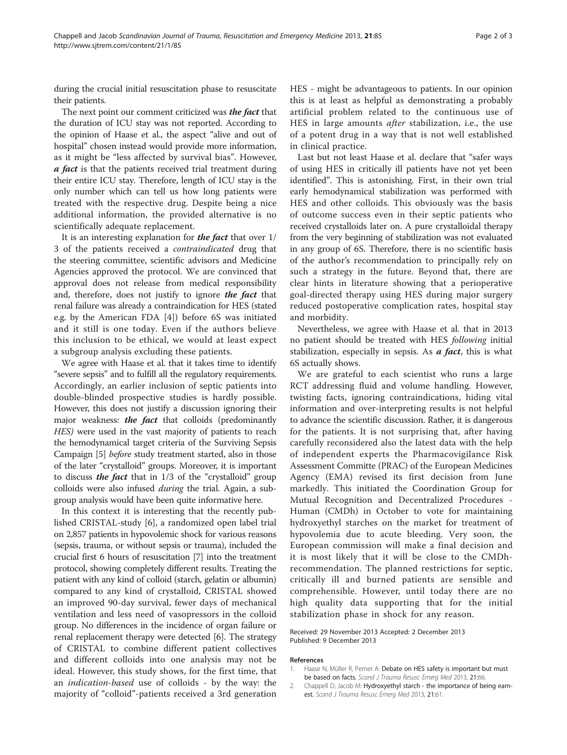<span id="page-1-0"></span>during the crucial initial resuscitation phase to resuscitate their patients.

The next point our comment criticized was *the fact* that the duration of ICU stay was not reported. According to the opinion of Haase et al., the aspect "alive and out of hospital" chosen instead would provide more information, as it might be "less affected by survival bias". However, a fact is that the patients received trial treatment during their entire ICU stay. Therefore, length of ICU stay is the only number which can tell us how long patients were treated with the respective drug. Despite being a nice additional information, the provided alternative is no scientifically adequate replacement.

It is an interesting explanation for the fact that over 1/ 3 of the patients received a contraindicated drug that the steering committee, scientific advisors and Medicine Agencies approved the protocol. We are convinced that approval does not release from medical responsibility and, therefore, does not justify to ignore the fact that renal failure was already a contraindication for HES (stated e.g. by the American FDA [[4\]](#page-2-0)) before 6S was initiated and it still is one today. Even if the authors believe this inclusion to be ethical, we would at least expect a subgroup analysis excluding these patients.

We agree with Haase et al. that it takes time to identify "severe sepsis" and to fulfill all the regulatory requirements. Accordingly, an earlier inclusion of septic patients into double-blinded prospective studies is hardly possible. However, this does not justify a discussion ignoring their major weakness: **the fact** that colloids (predominantly HES) were used in the vast majority of patients to reach the hemodynamical target criteria of the Surviving Sepsis Campaign [[5](#page-2-0)] before study treatment started, also in those of the later "crystalloid" groups. Moreover, it is important to discuss *the fact* that in  $1/3$  of the "crystalloid" group colloids were also infused during the trial. Again, a subgroup analysis would have been quite informative here.

In this context it is interesting that the recently published CRISTAL-study [\[6](#page-2-0)], a randomized open label trial on 2,857 patients in hypovolemic shock for various reasons (sepsis, trauma, or without sepsis or trauma), included the crucial first 6 hours of resuscitation [\[7\]](#page-2-0) into the treatment protocol, showing completely different results. Treating the patient with any kind of colloid (starch, gelatin or albumin) compared to any kind of crystalloid, CRISTAL showed an improved 90-day survival, fewer days of mechanical ventilation and less need of vasopressors in the colloid group. No differences in the incidence of organ failure or renal replacement therapy were detected [\[6](#page-2-0)]. The strategy of CRISTAL to combine different patient collectives and different colloids into one analysis may not be ideal. However, this study shows, for the first time, that an indication-based use of colloids - by the way: the majority of "colloid"-patients received a 3rd generation HES - might be advantageous to patients. In our opinion this is at least as helpful as demonstrating a probably artificial problem related to the continuous use of HES in large amounts after stabilization, i.e., the use of a potent drug in a way that is not well established in clinical practice.

Last but not least Haase et al. declare that "safer ways of using HES in critically ill patients have not yet been identified". This is astonishing. First, in their own trial early hemodynamical stabilization was performed with HES and other colloids. This obviously was the basis of outcome success even in their septic patients who received crystalloids later on. A pure crystalloidal therapy from the very beginning of stabilization was not evaluated in any group of 6S. Therefore, there is no scientific basis of the author's recommendation to principally rely on such a strategy in the future. Beyond that, there are clear hints in literature showing that a perioperative goal-directed therapy using HES during major surgery reduced postoperative complication rates, hospital stay and morbidity.

Nevertheless, we agree with Haase et al. that in 2013 no patient should be treated with HES following initial stabilization, especially in sepsis. As  $a$  fact, this is what 6S actually shows.

We are grateful to each scientist who runs a large RCT addressing fluid and volume handling. However, twisting facts, ignoring contraindications, hiding vital information and over-interpreting results is not helpful to advance the scientific discussion. Rather, it is dangerous for the patients. It is not surprising that, after having carefully reconsidered also the latest data with the help of independent experts the Pharmacovigilance Risk Assessment Committe (PRAC) of the European Medicines Agency (EMA) revised its first decision from June markedly. This initiated the Coordination Group for Mutual Recognition and Decentralized Procedures - Human (CMDh) in October to vote for maintaining hydroxyethyl starches on the market for treatment of hypovolemia due to acute bleeding. Very soon, the European commission will make a final decision and it is most likely that it will be close to the CMDhrecommendation. The planned restrictions for septic, critically ill and burned patients are sensible and comprehensible. However, until today there are no high quality data supporting that for the initial stabilization phase in shock for any reason.

Received: 29 November 2013 Accepted: 2 December 2013 Published: 9 December 2013

#### References

- 1. Haase N, Müller R, Perner A: Debate on HES safety is important but must be based on facts. Scand J Trauma Resusc Emerg Med 2013, 21:66.
- 2. Chappell D, Jacob M: Hydroxyethyl starch the importance of being earnest. Scand J Trauma Resusc Emerg Med 2013, 21:61.